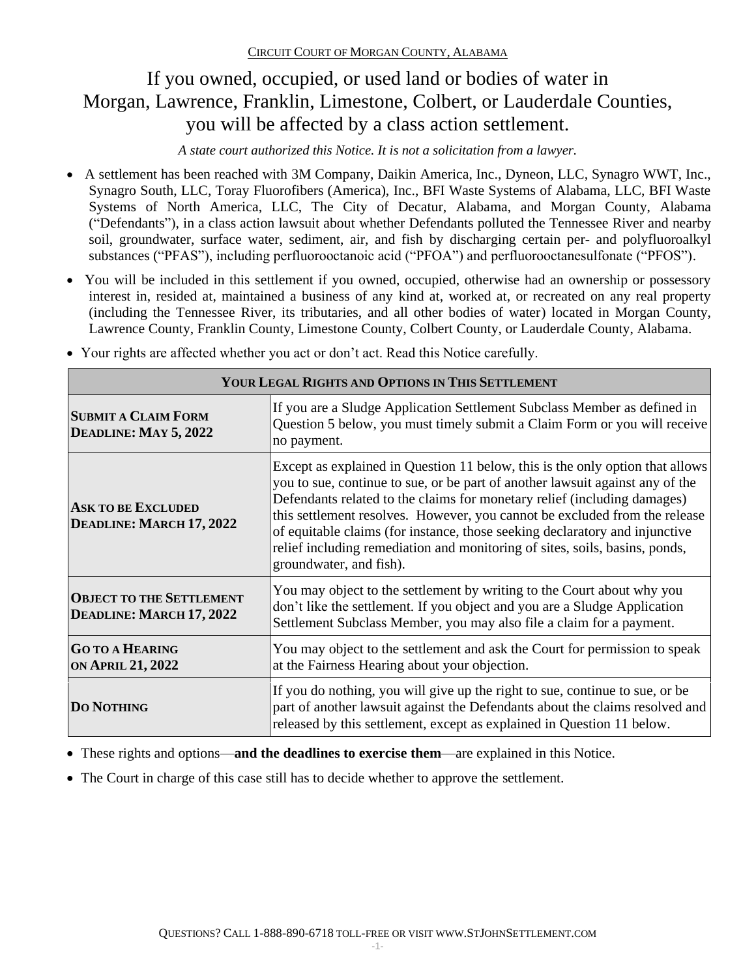# If you owned, occupied, or used land or bodies of water in Morgan, Lawrence, Franklin, Limestone, Colbert, or Lauderdale Counties, you will be affected by a class action settlement.

*A state court authorized this Notice. It is not a solicitation from a lawyer.*

- A settlement has been reached with 3M Company, Daikin America, Inc., Dyneon, LLC, Synagro WWT, Inc., Synagro South, LLC, Toray Fluorofibers (America), Inc., BFI Waste Systems of Alabama, LLC, BFI Waste Systems of North America, LLC, The City of Decatur, Alabama, and Morgan County, Alabama ("Defendants"), in a class action lawsuit about whether Defendants polluted the Tennessee River and nearby soil, groundwater, surface water, sediment, air, and fish by discharging certain per- and polyfluoroalkyl substances ("PFAS"), including perfluorooctanoic acid ("PFOA") and perfluorooctanesulfonate ("PFOS").
- You will be included in this settlement if you owned, occupied, otherwise had an ownership or possessory interest in, resided at, maintained a business of any kind at, worked at, or recreated on any real property (including the Tennessee River, its tributaries, and all other bodies of water) located in Morgan County, Lawrence County, Franklin County, Limestone County, Colbert County, or Lauderdale County, Alabama.

| YOUR LEGAL RIGHTS AND OPTIONS IN THIS SETTLEMENT            |                                                                                                                                                                                                                                                                                                                                                                                                                                                                                                                   |  |
|-------------------------------------------------------------|-------------------------------------------------------------------------------------------------------------------------------------------------------------------------------------------------------------------------------------------------------------------------------------------------------------------------------------------------------------------------------------------------------------------------------------------------------------------------------------------------------------------|--|
| <b>SUBMIT A CLAIM FORM</b><br>DEADLINE: MAY 5, 2022         | If you are a Sludge Application Settlement Subclass Member as defined in<br>Question 5 below, you must timely submit a Claim Form or you will receive<br>no payment.                                                                                                                                                                                                                                                                                                                                              |  |
| <b>ASK TO BE EXCLUDED</b><br>DEADLINE: MARCH 17, 2022       | Except as explained in Question 11 below, this is the only option that allows<br>you to sue, continue to sue, or be part of another lawsuit against any of the<br>Defendants related to the claims for monetary relief (including damages)<br>this settlement resolves. However, you cannot be excluded from the release<br>of equitable claims (for instance, those seeking declaratory and injunctive<br>relief including remediation and monitoring of sites, soils, basins, ponds,<br>groundwater, and fish). |  |
| <b>OBJECT TO THE SETTLEMENT</b><br>DEADLINE: MARCH 17, 2022 | You may object to the settlement by writing to the Court about why you<br>don't like the settlement. If you object and you are a Sludge Application<br>Settlement Subclass Member, you may also file a claim for a payment.                                                                                                                                                                                                                                                                                       |  |
| <b>GO TO A HEARING</b><br><b>ON APRIL 21, 2022</b>          | You may object to the settlement and ask the Court for permission to speak<br>at the Fairness Hearing about your objection.                                                                                                                                                                                                                                                                                                                                                                                       |  |
| <b>DO NOTHING</b>                                           | If you do nothing, you will give up the right to sue, continue to sue, or be<br>part of another lawsuit against the Defendants about the claims resolved and<br>released by this settlement, except as explained in Question 11 below.                                                                                                                                                                                                                                                                            |  |

• Your rights are affected whether you act or don't act. Read this Notice carefully.

• These rights and options—**and the deadlines to exercise them**—are explained in this Notice.

• The Court in charge of this case still has to decide whether to approve the settlement.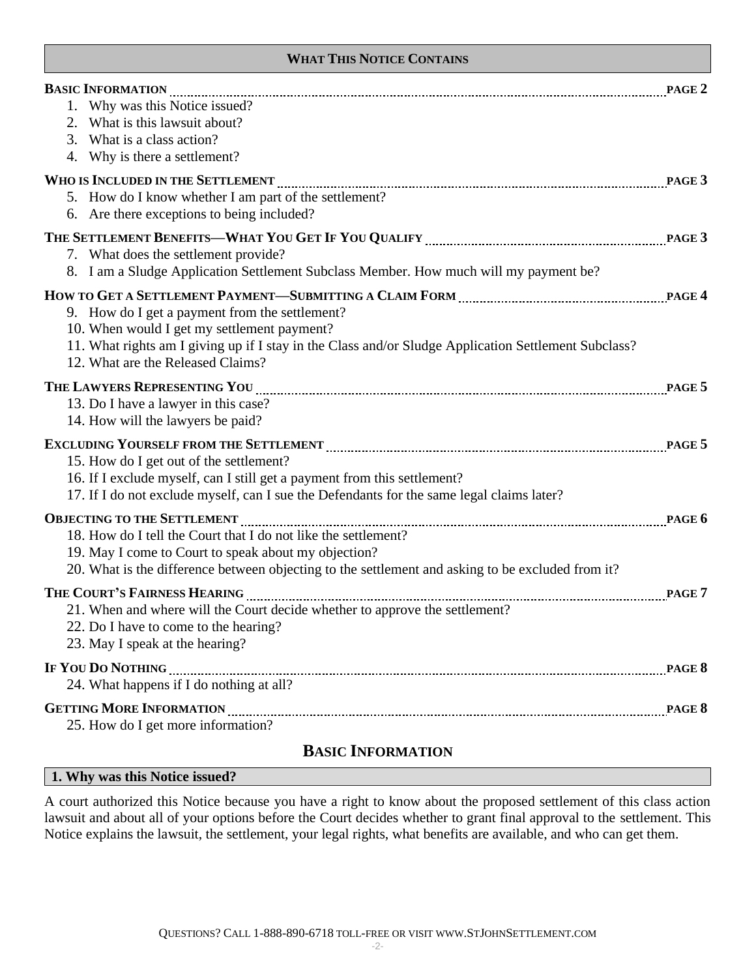### **WHAT THIS NOTICE CONTAINS**

| BASIC INFORMATION MARIE 2<br>1. Why was this Notice issued?<br>2. What is this lawsuit about?<br>3. What is a class action?<br>4. Why is there a settlement?                                                                                                                                                                                                                                                                     |  |
|----------------------------------------------------------------------------------------------------------------------------------------------------------------------------------------------------------------------------------------------------------------------------------------------------------------------------------------------------------------------------------------------------------------------------------|--|
| WHO IS INCLUDED IN THE SETTLEMENT <b><i>mathematically contained in the settlement</i></b> PAGE 3<br>5. How do I know whether I am part of the settlement?<br>6. Are there exceptions to being included?                                                                                                                                                                                                                         |  |
| 7. What does the settlement provide?<br>8. I am a Sludge Application Settlement Subclass Member. How much will my payment be?                                                                                                                                                                                                                                                                                                    |  |
| 9. How do I get a payment from the settlement?<br>10. When would I get my settlement payment?<br>11. What rights am I giving up if I stay in the Class and/or Sludge Application Settlement Subclass?<br>12. What are the Released Claims?                                                                                                                                                                                       |  |
| 13. Do I have a lawyer in this case?<br>14. How will the lawyers be paid?                                                                                                                                                                                                                                                                                                                                                        |  |
| EXCLUDING YOURSELF FROM THE SETTLEMENT MARKET MARKET AND RACE 5<br>15. How do I get out of the settlement?<br>16. If I exclude myself, can I still get a payment from this settlement?<br>17. If I do not exclude myself, can I sue the Defendants for the same legal claims later?                                                                                                                                              |  |
| OBJECTING TO THE SETTLEMENT <b>MAGIC CONSUMER</b> T <b>CONSUMER</b> T <b>CONSUMER</b> T <b>CONSUMER</b> T <b>CONSUMER</b> T <b>CONSUMER</b> T <b>CONSUMER</b> T <b>CONSUMER</b> T <b>CONSUMER</b><br>18. How do I tell the Court that I do not like the settlement?<br>19. May I come to Court to speak about my objection?<br>20. What is the difference between objecting to the settlement and asking to be excluded from it? |  |
| THE COURT'S FAIRNESS HEARING MARKET AND REASONAL PAGE 7<br>21. When and where will the Court decide whether to approve the settlement?<br>22. Do I have to come to the hearing?<br>23. May I speak at the hearing?                                                                                                                                                                                                               |  |
| IF YOU DO NOTHING MARKET AND THE STAGE 8<br>24. What happens if I do nothing at all?                                                                                                                                                                                                                                                                                                                                             |  |
| GETTING MORE INFORMATION <b>MALLET AND READER</b> SERVICES <b>BLACK</b><br>25. How do I get more information?                                                                                                                                                                                                                                                                                                                    |  |

## **BASIC INFORMATION**

#### **1. Why was this Notice issued?**

A court authorized this Notice because you have a right to know about the proposed settlement of this class action lawsuit and about all of your options before the Court decides whether to grant final approval to the settlement. This Notice explains the lawsuit, the settlement, your legal rights, what benefits are available, and who can get them.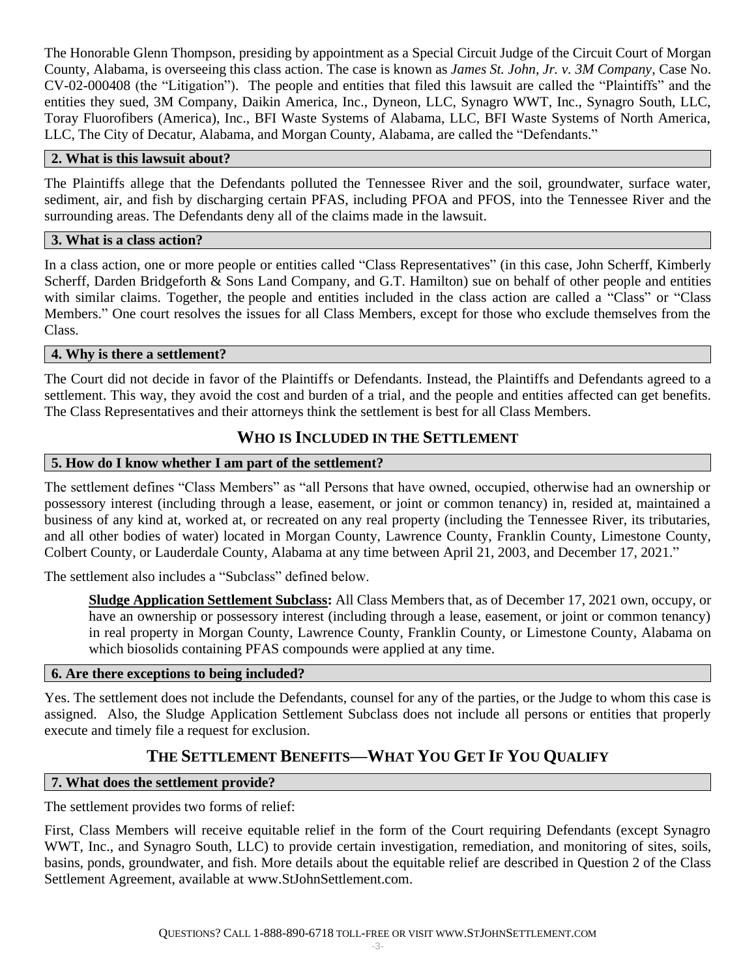The Honorable Glenn Thompson, presiding by appointment as a Special Circuit Judge of the Circuit Court of Morgan County, Alabama, is overseeing this class action. The case is known as *James St. John, Jr. v. 3M Company*, Case No. CV-02-000408 (the "Litigation"). The people and entities that filed this lawsuit are called the "Plaintiffs" and the entities they sued, 3M Company, Daikin America, Inc., Dyneon, LLC, Synagro WWT, Inc., Synagro South, LLC, Toray Fluorofibers (America), Inc., BFI Waste Systems of Alabama, LLC, BFI Waste Systems of North America, LLC, The City of Decatur, Alabama, and Morgan County, Alabama, are called the "Defendants."

### **2. What is this lawsuit about?**

The Plaintiffs allege that the Defendants polluted the Tennessee River and the soil, groundwater, surface water, sediment, air, and fish by discharging certain PFAS, including PFOA and PFOS, into the Tennessee River and the surrounding areas. The Defendants deny all of the claims made in the lawsuit.

#### **3. What is a class action?**

In a class action, one or more people or entities called "Class Representatives" (in this case, John Scherff, Kimberly Scherff, Darden Bridgeforth & Sons Land Company, and G.T. Hamilton) sue on behalf of other people and entities with similar claims. Together, the people and entities included in the class action are called a "Class" or "Class" Members." One court resolves the issues for all Class Members, except for those who exclude themselves from the Class.

### **4. Why is there a settlement?**

The Court did not decide in favor of the Plaintiffs or Defendants. Instead, the Plaintiffs and Defendants agreed to a settlement. This way, they avoid the cost and burden of a trial, and the people and entities affected can get benefits. The Class Representatives and their attorneys think the settlement is best for all Class Members.

## **WHO IS INCLUDED IN THE SETTLEMENT**

### **5. How do I know whether I am part of the settlement?**

The settlement defines "Class Members" as "all Persons that have owned, occupied, otherwise had an ownership or possessory interest (including through a lease, easement, or joint or common tenancy) in, resided at, maintained a business of any kind at, worked at, or recreated on any real property (including the Tennessee River, its tributaries, and all other bodies of water) located in Morgan County, Lawrence County, Franklin County, Limestone County, Colbert County, or Lauderdale County, Alabama at any time between April 21, 2003, and December 17, 2021."

The settlement also includes a "Subclass" defined below.

**Sludge Application Settlement Subclass:** All Class Members that, as of December 17, 2021 own, occupy, or have an ownership or possessory interest (including through a lease, easement, or joint or common tenancy) in real property in Morgan County, Lawrence County, Franklin County, or Limestone County, Alabama on which biosolids containing PFAS compounds were applied at any time.

#### **6. Are there exceptions to being included?**

Yes. The settlement does not include the Defendants, counsel for any of the parties, or the Judge to whom this case is assigned. Also, the Sludge Application Settlement Subclass does not include all persons or entities that properly execute and timely file a request for exclusion.

## **THE SETTLEMENT BENEFITS—WHAT YOU GET IF YOU QUALIFY**

#### **7. What does the settlement provide?**

The settlement provides two forms of relief:

First, Class Members will receive equitable relief in the form of the Court requiring Defendants (except Synagro WWT, Inc., and Synagro South, LLC) to provide certain investigation, remediation, and monitoring of sites, soils, basins, ponds, groundwater, and fish. More details about the equitable relief are described in Question 2 of the Class Settlement Agreement, available at www.StJohnSettlement.com.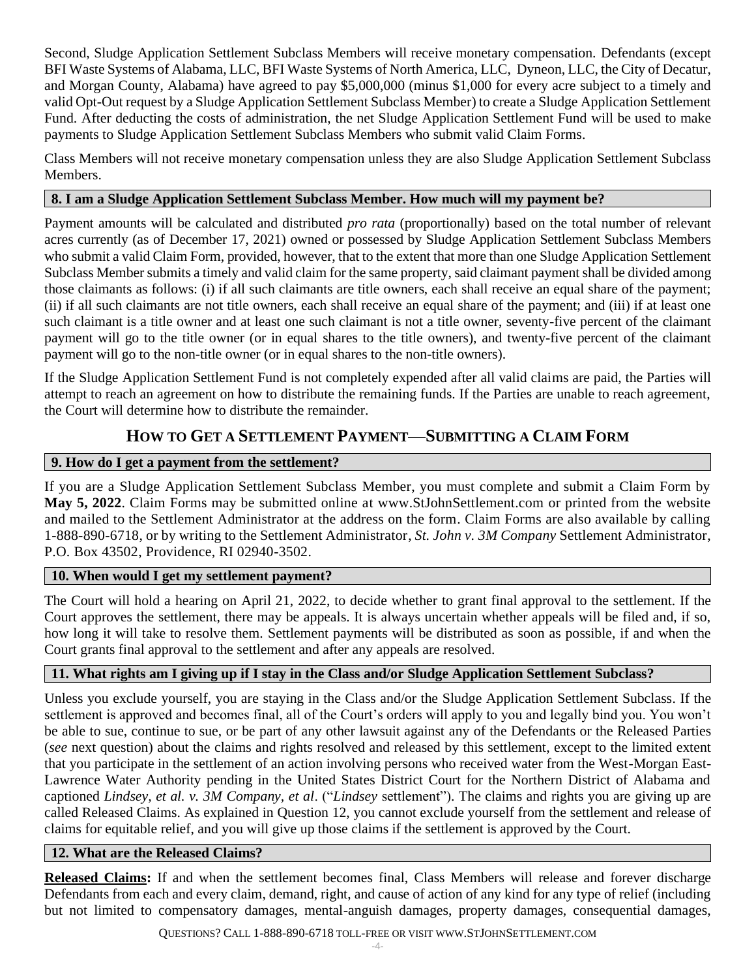Second, Sludge Application Settlement Subclass Members will receive monetary compensation. Defendants (except BFI Waste Systems of Alabama, LLC, BFI Waste Systems of North America, LLC, Dyneon, LLC, the City of Decatur, and Morgan County, Alabama) have agreed to pay \$5,000,000 (minus \$1,000 for every acre subject to a timely and valid Opt-Out request by a Sludge Application Settlement Subclass Member) to create a Sludge Application Settlement Fund. After deducting the costs of administration, the net Sludge Application Settlement Fund will be used to make payments to Sludge Application Settlement Subclass Members who submit valid Claim Forms.

Class Members will not receive monetary compensation unless they are also Sludge Application Settlement Subclass Members.

## **8. I am a Sludge Application Settlement Subclass Member. How much will my payment be?**

Payment amounts will be calculated and distributed *pro rata* (proportionally) based on the total number of relevant acres currently (as of December 17, 2021) owned or possessed by Sludge Application Settlement Subclass Members who submit a valid Claim Form, provided, however, that to the extent that more than one Sludge Application Settlement Subclass Member submits a timely and valid claim for the same property, said claimant payment shall be divided among those claimants as follows: (i) if all such claimants are title owners, each shall receive an equal share of the payment; (ii) if all such claimants are not title owners, each shall receive an equal share of the payment; and (iii) if at least one such claimant is a title owner and at least one such claimant is not a title owner, seventy-five percent of the claimant payment will go to the title owner (or in equal shares to the title owners), and twenty-five percent of the claimant payment will go to the non-title owner (or in equal shares to the non-title owners).

If the Sludge Application Settlement Fund is not completely expended after all valid claims are paid, the Parties will attempt to reach an agreement on how to distribute the remaining funds. If the Parties are unable to reach agreement, the Court will determine how to distribute the remainder.

## **HOW TO GET A SETTLEMENT PAYMENT—SUBMITTING A CLAIM FORM**

## **9. How do I get a payment from the settlement?**

If you are a Sludge Application Settlement Subclass Member, you must complete and submit a Claim Form by **May 5, 2022**. Claim Forms may be submitted online at www.StJohnSettlement.com or printed from the website and mailed to the Settlement Administrator at the address on the form. Claim Forms are also available by calling 1-888-890-6718, or by writing to the Settlement Administrator, *St. John v. 3M Company* Settlement Administrator, P.O. Box 43502, Providence, RI 02940-3502.

## **10. When would I get my settlement payment?**

The Court will hold a hearing on April 21, 2022, to decide whether to grant final approval to the settlement. If the Court approves the settlement, there may be appeals. It is always uncertain whether appeals will be filed and, if so, how long it will take to resolve them. Settlement payments will be distributed as soon as possible, if and when the Court grants final approval to the settlement and after any appeals are resolved.

## **11. What rights am I giving up if I stay in the Class and/or Sludge Application Settlement Subclass?**

Unless you exclude yourself, you are staying in the Class and/or the Sludge Application Settlement Subclass. If the settlement is approved and becomes final, all of the Court's orders will apply to you and legally bind you. You won't be able to sue, continue to sue, or be part of any other lawsuit against any of the Defendants or the Released Parties (*see* next question) about the claims and rights resolved and released by this settlement, except to the limited extent that you participate in the settlement of an action involving persons who received water from the West-Morgan East-Lawrence Water Authority pending in the United States District Court for the Northern District of Alabama and captioned *Lindsey, et al. v. 3M Company, et al*. ("*Lindsey* settlement"). The claims and rights you are giving up are called Released Claims. As explained in Question 12, you cannot exclude yourself from the settlement and release of claims for equitable relief, and you will give up those claims if the settlement is approved by the Court.

## **12. What are the Released Claims?**

**Released Claims:** If and when the settlement becomes final, Class Members will release and forever discharge Defendants from each and every claim, demand, right, and cause of action of any kind for any type of relief (including but not limited to compensatory damages, mental-anguish damages, property damages, consequential damages,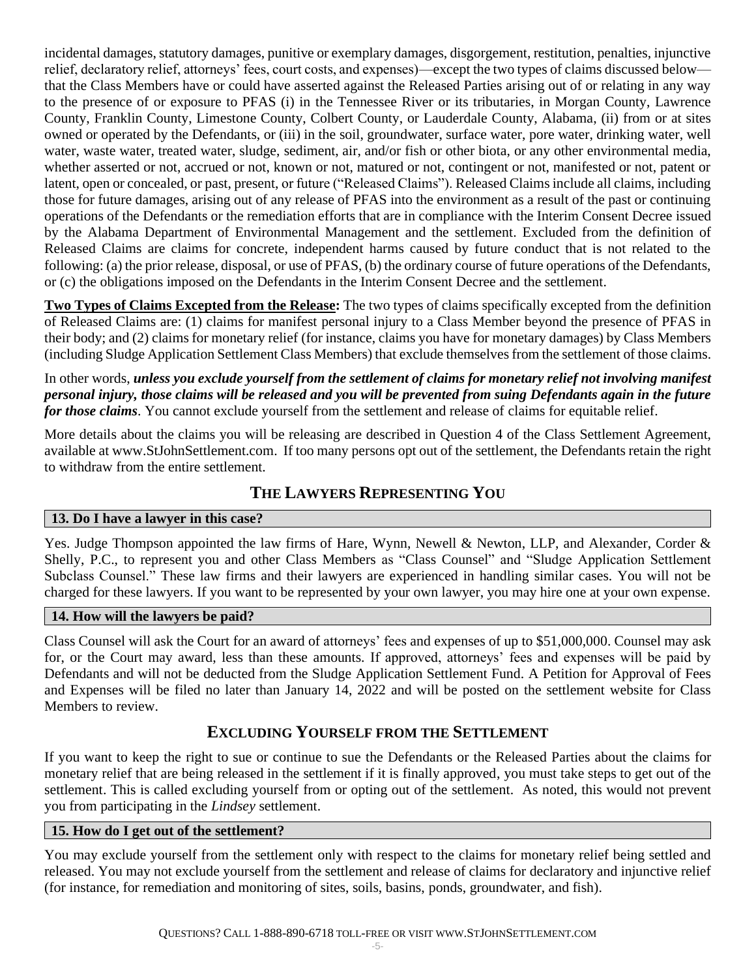incidental damages, statutory damages, punitive or exemplary damages, disgorgement, restitution, penalties, injunctive relief, declaratory relief, attorneys' fees, court costs, and expenses)—except the two types of claims discussed below that the Class Members have or could have asserted against the Released Parties arising out of or relating in any way to the presence of or exposure to PFAS (i) in the Tennessee River or its tributaries, in Morgan County, Lawrence County, Franklin County, Limestone County, Colbert County, or Lauderdale County, Alabama, (ii) from or at sites owned or operated by the Defendants, or (iii) in the soil, groundwater, surface water, pore water, drinking water, well water, waste water, treated water, sludge, sediment, air, and/or fish or other biota, or any other environmental media, whether asserted or not, accrued or not, known or not, matured or not, contingent or not, manifested or not, patent or latent, open or concealed, or past, present, or future ("Released Claims"). Released Claims include all claims, including those for future damages, arising out of any release of PFAS into the environment as a result of the past or continuing operations of the Defendants or the remediation efforts that are in compliance with the Interim Consent Decree issued by the Alabama Department of Environmental Management and the settlement. Excluded from the definition of Released Claims are claims for concrete, independent harms caused by future conduct that is not related to the following: (a) the prior release, disposal, or use of PFAS, (b) the ordinary course of future operations of the Defendants, or (c) the obligations imposed on the Defendants in the Interim Consent Decree and the settlement.

**Two Types of Claims Excepted from the Release:** The two types of claims specifically excepted from the definition of Released Claims are: (1) claims for manifest personal injury to a Class Member beyond the presence of PFAS in their body; and (2) claims for monetary relief (for instance, claims you have for monetary damages) by Class Members (including Sludge Application Settlement Class Members) that exclude themselves from the settlement of those claims.

In other words, *unless you exclude yourself from the settlement of claims for monetary relief not involving manifest personal injury, those claims will be released and you will be prevented from suing Defendants again in the future for those claims*. You cannot exclude yourself from the settlement and release of claims for equitable relief.

More details about the claims you will be releasing are described in Question 4 of the Class Settlement Agreement, available at www.StJohnSettlement.com. If too many persons opt out of the settlement, the Defendants retain the right to withdraw from the entire settlement.

## **THE LAWYERS REPRESENTING YOU**

## **13. Do I have a lawyer in this case?**

Yes. Judge Thompson appointed the law firms of Hare, Wynn, Newell & Newton, LLP, and Alexander, Corder & Shelly, P.C., to represent you and other Class Members as "Class Counsel" and "Sludge Application Settlement Subclass Counsel." These law firms and their lawyers are experienced in handling similar cases. You will not be charged for these lawyers. If you want to be represented by your own lawyer, you may hire one at your own expense.

## **14. How will the lawyers be paid?**

Class Counsel will ask the Court for an award of attorneys' fees and expenses of up to \$51,000,000. Counsel may ask for, or the Court may award, less than these amounts. If approved, attorneys' fees and expenses will be paid by Defendants and will not be deducted from the Sludge Application Settlement Fund. A Petition for Approval of Fees and Expenses will be filed no later than January 14, 2022 and will be posted on the settlement website for Class Members to review.

## **EXCLUDING YOURSELF FROM THE SETTLEMENT**

If you want to keep the right to sue or continue to sue the Defendants or the Released Parties about the claims for monetary relief that are being released in the settlement if it is finally approved, you must take steps to get out of the settlement. This is called excluding yourself from or opting out of the settlement. As noted, this would not prevent you from participating in the *Lindsey* settlement.

## **15. How do I get out of the settlement?**

You may exclude yourself from the settlement only with respect to the claims for monetary relief being settled and released. You may not exclude yourself from the settlement and release of claims for declaratory and injunctive relief (for instance, for remediation and monitoring of sites, soils, basins, ponds, groundwater, and fish).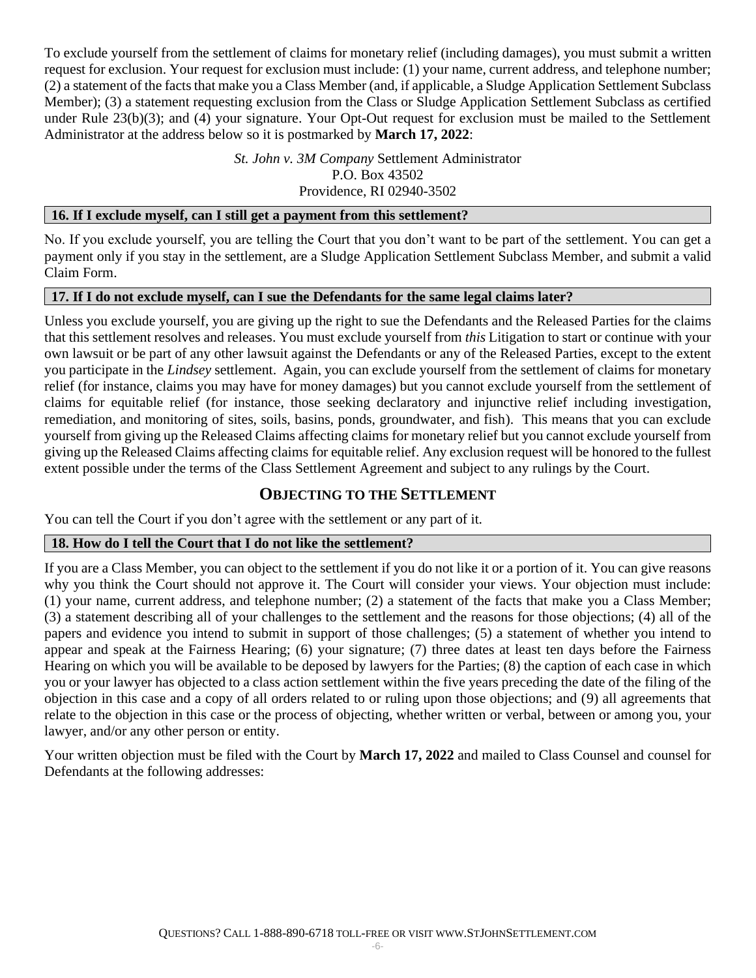To exclude yourself from the settlement of claims for monetary relief (including damages), you must submit a written request for exclusion. Your request for exclusion must include: (1) your name, current address, and telephone number; (2) a statement of the facts that make you a Class Member (and, if applicable, a Sludge Application Settlement Subclass Member); (3) a statement requesting exclusion from the Class or Sludge Application Settlement Subclass as certified under Rule 23(b)(3); and (4) your signature. Your Opt-Out request for exclusion must be mailed to the Settlement Administrator at the address below so it is postmarked by **March 17, 2022**:

> *St. John v. 3M Company* Settlement Administrator P.O. Box 43502 Providence, RI 02940-3502

#### **16. If I exclude myself, can I still get a payment from this settlement?**

No. If you exclude yourself, you are telling the Court that you don't want to be part of the settlement. You can get a payment only if you stay in the settlement, are a Sludge Application Settlement Subclass Member, and submit a valid Claim Form.

### **17. If I do not exclude myself, can I sue the Defendants for the same legal claims later?**

Unless you exclude yourself, you are giving up the right to sue the Defendants and the Released Parties for the claims that this settlement resolves and releases. You must exclude yourself from *this* Litigation to start or continue with your own lawsuit or be part of any other lawsuit against the Defendants or any of the Released Parties, except to the extent you participate in the *Lindsey* settlement. Again, you can exclude yourself from the settlement of claims for monetary relief (for instance, claims you may have for money damages) but you cannot exclude yourself from the settlement of claims for equitable relief (for instance, those seeking declaratory and injunctive relief including investigation, remediation, and monitoring of sites, soils, basins, ponds, groundwater, and fish). This means that you can exclude yourself from giving up the Released Claims affecting claims for monetary relief but you cannot exclude yourself from giving up the Released Claims affecting claims for equitable relief. Any exclusion request will be honored to the fullest extent possible under the terms of the Class Settlement Agreement and subject to any rulings by the Court.

## **OBJECTING TO THE SETTLEMENT**

You can tell the Court if you don't agree with the settlement or any part of it.

## **18. How do I tell the Court that I do not like the settlement?**

If you are a Class Member, you can object to the settlement if you do not like it or a portion of it. You can give reasons why you think the Court should not approve it. The Court will consider your views. Your objection must include: (1) your name, current address, and telephone number; (2) a statement of the facts that make you a Class Member; (3) a statement describing all of your challenges to the settlement and the reasons for those objections; (4) all of the papers and evidence you intend to submit in support of those challenges; (5) a statement of whether you intend to appear and speak at the Fairness Hearing; (6) your signature; (7) three dates at least ten days before the Fairness Hearing on which you will be available to be deposed by lawyers for the Parties; (8) the caption of each case in which you or your lawyer has objected to a class action settlement within the five years preceding the date of the filing of the objection in this case and a copy of all orders related to or ruling upon those objections; and (9) all agreements that relate to the objection in this case or the process of objecting, whether written or verbal, between or among you, your lawyer, and/or any other person or entity.

Your written objection must be filed with the Court by **March 17, 2022** and mailed to Class Counsel and counsel for Defendants at the following addresses: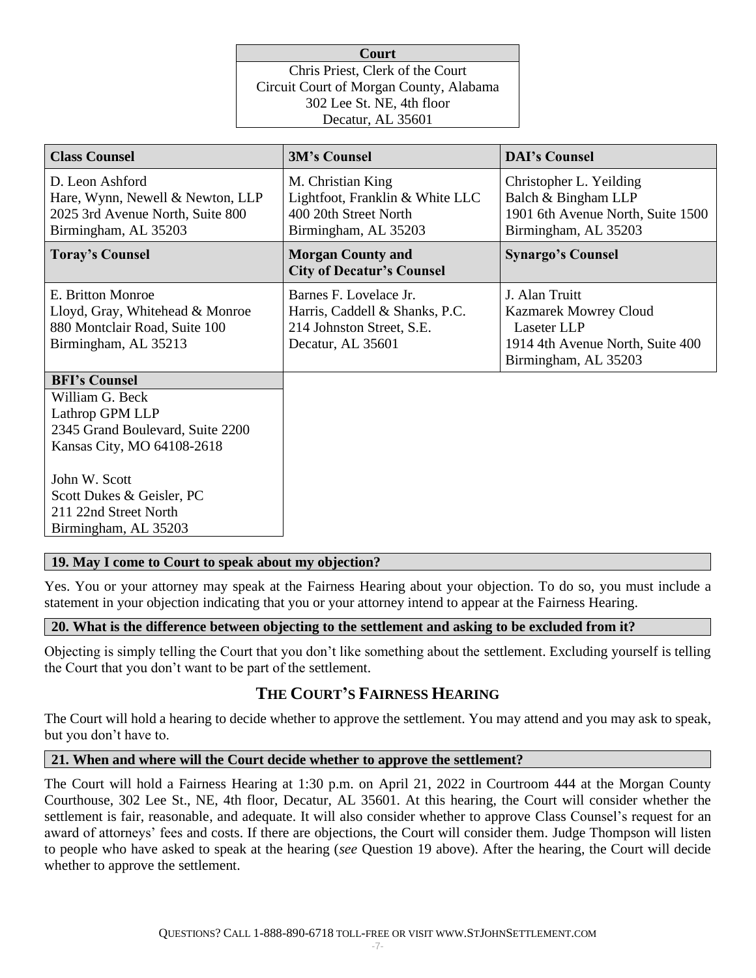| <b>Court</b>                            |  |  |
|-----------------------------------------|--|--|
| Chris Priest, Clerk of the Court        |  |  |
| Circuit Court of Morgan County, Alabama |  |  |
| 302 Lee St. NE, 4th floor               |  |  |
| Decatur, AL 35601                       |  |  |

| <b>Class Counsel</b>                                                                                            | <b>3M's Counsel</b>                                                                                        | <b>DAI's Counsel</b>                                                                                                      |
|-----------------------------------------------------------------------------------------------------------------|------------------------------------------------------------------------------------------------------------|---------------------------------------------------------------------------------------------------------------------------|
| D. Leon Ashford<br>Hare, Wynn, Newell & Newton, LLP<br>2025 3rd Avenue North, Suite 800<br>Birmingham, AL 35203 | M. Christian King<br>Lightfoot, Franklin & White LLC<br>400 20th Street North<br>Birmingham, AL 35203      | Christopher L. Yeilding<br>Balch & Bingham LLP<br>1901 6th Avenue North, Suite 1500<br>Birmingham, AL 35203               |
| <b>Toray's Counsel</b>                                                                                          | <b>Morgan County and</b><br><b>City of Decatur's Counsel</b>                                               | <b>Synargo's Counsel</b>                                                                                                  |
| E. Britton Monroe<br>Lloyd, Gray, Whitehead & Monroe<br>880 Montclair Road, Suite 100<br>Birmingham, AL 35213   | Barnes F. Lovelace Jr.<br>Harris, Caddell & Shanks, P.C.<br>214 Johnston Street, S.E.<br>Decatur, AL 35601 | J. Alan Truitt<br><b>Kazmarek Mowrey Cloud</b><br>Laseter LLP<br>1914 4th Avenue North, Suite 400<br>Birmingham, AL 35203 |
| <b>BFI's Counsel</b>                                                                                            |                                                                                                            |                                                                                                                           |
| William G. Beck<br>Lathrop GPM LLP<br>2345 Grand Boulevard, Suite 2200<br>Kansas City, MO 64108-2618            |                                                                                                            |                                                                                                                           |
| John W. Scott<br>Scott Dukes & Geisler, PC<br>211 22nd Street North<br>Birmingham, AL 35203                     |                                                                                                            |                                                                                                                           |

#### **19. May I come to Court to speak about my objection?**

Yes. You or your attorney may speak at the Fairness Hearing about your objection. To do so, you must include a statement in your objection indicating that you or your attorney intend to appear at the Fairness Hearing.

#### **20. What is the difference between objecting to the settlement and asking to be excluded from it?**

Objecting is simply telling the Court that you don't like something about the settlement. Excluding yourself is telling the Court that you don't want to be part of the settlement.

## **THE COURT'S FAIRNESS HEARING**

The Court will hold a hearing to decide whether to approve the settlement. You may attend and you may ask to speak, but you don't have to.

#### **21. When and where will the Court decide whether to approve the settlement?**

The Court will hold a Fairness Hearing at 1:30 p.m. on April 21, 2022 in Courtroom 444 at the Morgan County Courthouse, 302 Lee St., NE, 4th floor, Decatur, AL 35601. At this hearing, the Court will consider whether the settlement is fair, reasonable, and adequate. It will also consider whether to approve Class Counsel's request for an award of attorneys' fees and costs. If there are objections, the Court will consider them. Judge Thompson will listen to people who have asked to speak at the hearing (*see* Question 19 above). After the hearing, the Court will decide whether to approve the settlement.